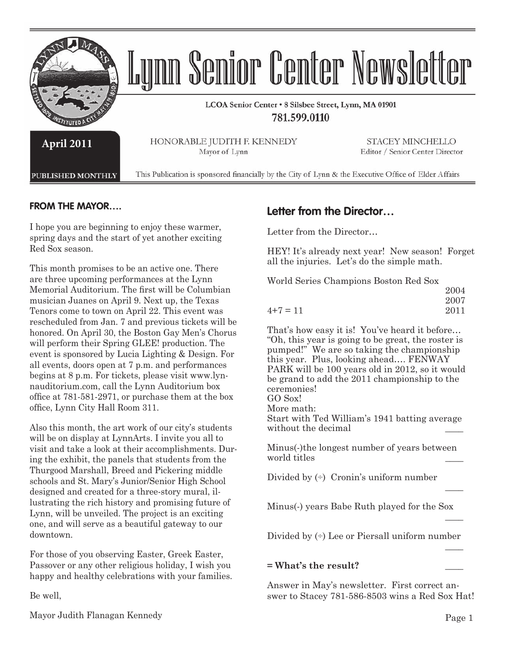

## **FROM THE MAYOR….**

I hope you are beginning to enjoy these warmer, spring days and the start of yet another exciting Red Sox season.

This month promises to be an active one. There are three upcoming performances at the Lynn Memorial Auditorium. The first will be Columbian musician Juanes on April 9. Next up, the Texas Tenors come to town on April 22. This event was rescheduled from Jan. 7 and previous tickets will be honored. On April 30, the Boston Gay Men's Chorus will perform their Spring GLEE! production. The event is sponsored by Lucia Lighting & Design. For all events, doors open at 7 p.m. and performances begins at 8 p.m. For tickets, please visit www.lynnauditorium.com, call the Lynn Auditorium box office at  $781-581-2971$ , or purchase them at the box office, Lynn City Hall Room 311.

Also this month, the art work of our city's students will be on display at LynnArts. I invite you all to visit and take a look at their accomplishments. During the exhibit, the panels that students from the Thurgood Marshall, Breed and Pickering middle schools and St. Mary's Junior/Senior High School designed and created for a three-story mural, illustrating the rich history and promising future of Lynn, will be unveiled. The project is an exciting one, and will serve as a beautiful gateway to our downtown.

For those of you observing Easter, Greek Easter, Passover or any other religious holiday, I wish you happy and healthy celebrations with your families.

Be well,

# **Letter from the Director…**

Letter from the Director…

HEY! It's already next year! New season! Forget all the injuries. Let's do the simple math.

World Series Champions Boston Red Sox 2004

|          | 2007 |
|----------|------|
| $4+7=11$ | 2011 |

That's how easy it is! You've heard it before… "Oh, this year is going to be great, the roster is pumped!" We are so taking the championship this year. Plus, looking ahead…. FENWAY PARK will be 100 years old in 2012, so it would be grand to add the 2011 championship to the ceremonies! GO Sox! More math: Start with Ted William's 1941 batting average without the decimal

Minus(-)the longest number of years between world titles

Divided by  $\leftrightarrow$  Cronin's uniform number \_\_\_\_

Minus(-) years Babe Ruth played for the Sox \_\_\_\_

Divided by  $\leftrightarrow$  Lee or Piersall uniform number  $\mathcal{L}_\mathcal{L}$  , which is a set of the set of the set of the set of the set of the set of the set of the set of the set of the set of the set of the set of the set of the set of the set of the set of the set of the set of

#### **= What's the result?** \_\_\_\_

Answer in May's newsletter. First correct answer to Stacey 781-586-8503 wins a Red Sox Hat!

Mayor Judith Flanagan Kennedy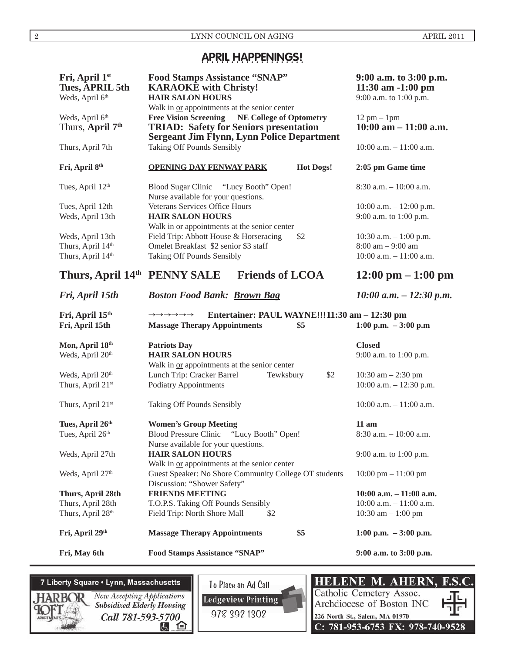# **APRIL HAPPENINGS!**

| Fri, April 1st<br><b>Tues, APRIL 5th</b><br>Weds, April 6th | <b>Food Stamps Assistance "SNAP"</b><br><b>KARAOKE</b> with Christy!<br><b>HAIR SALON HOURS</b><br>Walk in or appointments at the senior center                      | 9:00 a.m. to 3:00 p.m.<br>$11:30$ am $-1:00$ pm<br>9:00 a.m. to 1:00 p.m. |
|-------------------------------------------------------------|----------------------------------------------------------------------------------------------------------------------------------------------------------------------|---------------------------------------------------------------------------|
| Weds, April 6th<br>Thurs, April 7 <sup>th</sup>             | <b>Free Vision Screening</b><br><b>NE College of Optometry</b><br><b>TRIAD: Safety for Seniors presentation</b><br><b>Sergeant Jim Flynn, Lynn Police Department</b> | $12 \text{ pm} - 1 \text{pm}$<br>$10:00$ am $-11:00$ a.m.                 |
| Thurs, April 7th                                            | Taking Off Pounds Sensibly                                                                                                                                           | $10:00$ a.m. $-11:00$ a.m.                                                |
| Fri, April 8th                                              | <b>OPENING DAY FENWAY PARK</b><br><b>Hot Dogs!</b>                                                                                                                   | 2:05 pm Game time                                                         |
| Tues, April 12th                                            | Blood Sugar Clinic "Lucy Booth" Open!<br>Nurse available for your questions.                                                                                         | $8:30$ a.m. $-10:00$ a.m.                                                 |
| Tues, April 12th                                            | Veterans Services Office Hours                                                                                                                                       | $10:00$ a.m. $-12:00$ p.m.                                                |
| Weds, April 13th                                            | <b>HAIR SALON HOURS</b><br>Walk in or appointments at the senior center                                                                                              | 9:00 a.m. to 1:00 p.m.                                                    |
| Weds, April 13th                                            | Field Trip: Abbott House & Horseracing<br>\$2                                                                                                                        | 10:30 a.m. $-1:00$ p.m.                                                   |
| Thurs, April 14th                                           | Omelet Breakfast \$2 senior \$3 staff                                                                                                                                | $8:00 \text{ am} - 9:00 \text{ am}$                                       |
| Thurs, April 14th                                           | Taking Off Pounds Sensibly                                                                                                                                           | $10:00$ a.m. $-11:00$ a.m.                                                |
| Thurs, April 14th PENNY SALE                                | <b>Friends of LCOA</b>                                                                                                                                               | $12:00 \text{ pm} - 1:00 \text{ pm}$                                      |
| Fri, April 15th                                             | <b>Boston Food Bank: Brown Bag</b>                                                                                                                                   | $10:00$ a.m. $- 12:30$ p.m.                                               |
| Fri, April 15th                                             | Entertainer: PAUL WAYNE!!!11:30 am - 12:30 pm<br>$\!\!\rightarrow\!\!\rightarrow\!\!\rightarrow\!\!\rightarrow\!\rightarrow\!\rightarrow$                            |                                                                           |
| Fri, April 15th                                             | <b>Massage Therapy Appointments</b><br>\$5                                                                                                                           | 1:00 p.m. $-3:00$ p.m                                                     |
| Mon, April 18th                                             | <b>Patriots Day</b>                                                                                                                                                  | <b>Closed</b>                                                             |
| Weds, April 20th                                            | <b>HAIR SALON HOURS</b>                                                                                                                                              | 9:00 a.m. to 1:00 p.m.                                                    |
|                                                             | Walk in or appointments at the senior center                                                                                                                         |                                                                           |
| Weds, April 20 <sup>th</sup>                                | Lunch Trip: Cracker Barrel<br>\$2<br>Tewksbury                                                                                                                       | 10:30 am $- 2:30$ pm                                                      |
| Thurs, April 21st                                           | <b>Podiatry Appointments</b>                                                                                                                                         | 10:00 a.m. - 12:30 p.m.                                                   |
| Thurs, April 21st                                           | Taking Off Pounds Sensibly                                                                                                                                           | $10:00$ a.m. $-11:00$ a.m.                                                |
| Tues, April 26th                                            | <b>Women's Group Meeting</b>                                                                                                                                         | $11$ am                                                                   |
| Tues, April 26th                                            | Blood Pressure Clinic "Lucy Booth" Open!<br>Nurse available for your questions.                                                                                      | $8:30$ a.m. $-10:00$ a.m.                                                 |
| Weds, April 27th                                            | <b>HAIR SALON HOURS</b><br>Walk in or appointments at the senior center                                                                                              | 9:00 a.m. to 1:00 p.m.                                                    |
| Weds, April 27 <sup>th</sup>                                | Guest Speaker: No Shore Community College OT students<br>Discussion: "Shower Safety"                                                                                 | $10:00 \text{ pm} - 11:00 \text{ pm}$                                     |
| Thurs, April 28th                                           | <b>FRIENDS MEETING</b>                                                                                                                                               | $10:00$ a.m. $-11:00$ a.m.                                                |
| Thurs, April 28th                                           | T.O.P.S. Taking Off Pounds Sensibly                                                                                                                                  | $10:00$ a.m. $-11:00$ a.m.                                                |
| Thurs, April 28th                                           | Field Trip: North Shore Mall<br>\$2                                                                                                                                  | 10:30 am $- 1:00$ pm                                                      |
| Fri, April 29th                                             | \$5<br><b>Massage Therapy Appointments</b>                                                                                                                           | 1:00 p.m. $-3:00$ p.m.                                                    |
| Fri, May 6th                                                | Food Stamps Assistance "SNAP"                                                                                                                                        | 9:00 a.m. to 3:00 p.m.                                                    |

# 7 Liberty Square . Lynn, Massachusetts

Now Accepting Applications Subsidized Elderly Housing Call 781-593-5700 医白

To Place an Ad Call **Ledgeview Printing** 978 392 1302

**HELENE M. AHERN,** F.S. Catholic Cemetery Assoc. Archdiocese of Boston INC 226 North St., Salem, MA 01970 C: 781-953-6753 FX: 978-740-9528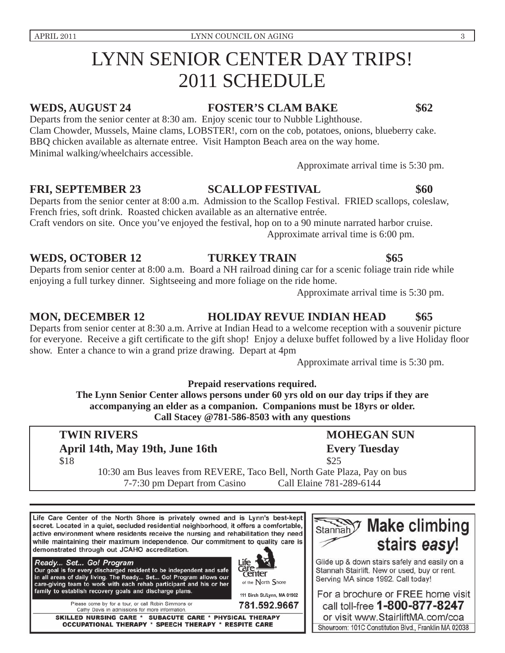# LYNN SENIOR CENTER DAY TRIPS! 2011 SCHEDULE

# **WEDS, AUGUST 24 FOSTER'S CLAM BAKE \$62**

Departs from the senior center at 8:30 am. Enjoy scenic tour to Nubble Lighthouse. Clam Chowder, Mussels, Maine clams, LOBSTER!, corn on the cob, potatoes, onions, blueberry cake. BBQ chicken available as alternate entree. Visit Hampton Beach area on the way home. Minimal walking/wheelchairs accessible.

Approximate arrival time is 5:30 pm.

FRI, SEPTEMBER 23 SCALLOP FESTIVAL \$60

Departs from the senior center at 8:00 a.m. Admission to the Scallop Festival. FRIED scallops, coleslaw, French fries, soft drink. Roasted chicken available as an alternative entrée.

Craft vendors on site. Once you've enjoyed the festival, hop on to a 90 minute narrated harbor cruise. Approximate arrival time is 6:00 pm.

## WEDS, OCTOBER 12 TURKEY TRAIN \$65

Departs from senior center at 8:00 a.m. Board a NH railroad dining car for a scenic foliage train ride while enjoying a full turkey dinner. Sightseeing and more foliage on the ride home.

Approximate arrival time is 5:30 pm.

## **MON, DECEMBER 12 HOLIDAY REVUE INDIAN HEAD \$65**

Departs from senior center at 8:30 a.m. Arrive at Indian Head to a welcome reception with a souvenir picture for everyone. Receive a gift certificate to the gift shop! Enjoy a deluxe buffet followed by a live Holiday floor show. Enter a chance to win a grand prize drawing. Depart at 4pm

Approximate arrival time is 5:30 pm.

**Prepaid reservations required.** 

**The Lynn Senior Center allows persons under 60 yrs old on our day trips if they are accompanying an elder as a companion. Companions must be 18yrs or older. Call Stacey @781-586-8503 with any questions**

center

of the North Shore

111 Birch St./Lynn, MA 01902

781.592.9667

# **TWIN RIVERS MOHEGAN SUN April 14th, May 19th, June 16th Every Tuesday**  $$18$  \$25

10:30 am Bus leaves from REVERE, Taco Bell, North Gate Plaza, Pay on bus 7-7:30 pm Depart from Casino Call Elaine 781-289-6144

Stannah

Life Care Center of the North Shore is privately owned and is Lynn's best-kept secret. Located in a quiet, secluded residential neighborhood, it offers a comfortable, active environment where residents receive the nursing and rehabilitation they need while maintaining their maximum independence. Our commitment to quality care is demonstrated through out JCAHO accreditation.



Please come by for a tour, or call Robin Simmons or Cathy Davis in admissions for more information.

SKILLED NURSING CARE \* SUBACUTE CARE \* PHYSICAL THERAPY OCCUPATIONAL THERAPY \* SPEECH THERAPY \* RESPITE CARE



**Make climbing** 

stairs easy!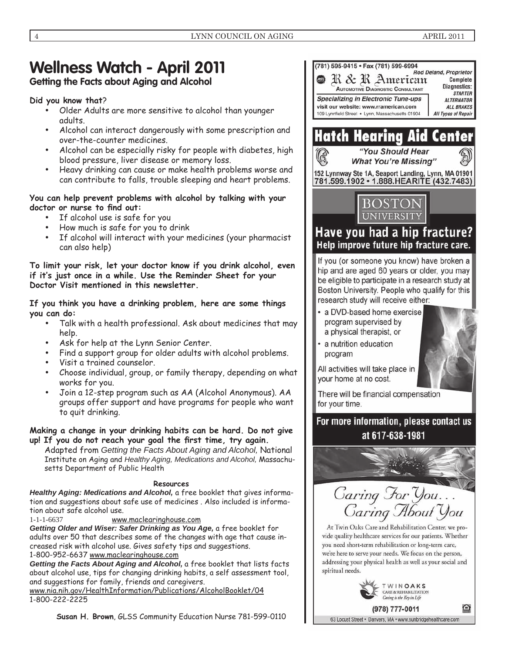# **Wellness Watch - April 2011**

# **Getting the Facts about Aging and Alcohol**

# **Did you know that**?

- Older Adults are more sensitive to alcohol than younger adults.
- Alcohol can interact dangerously with some prescription and over-the-counter medicines.
- Alcohol can be especially risky for people with diabetes, high blood pressure, liver disease or memory loss.
- Heavy drinking can cause or make health problems worse and can contribute to falls, trouble sleeping and heart problems.

## **You can help prevent problems with alcohol by talking with your**  doctor or nurse to find out:

- If alcohol use is safe for you
- How much is safe for you to drink
- If alcohol will interact with your medicines (your pharmacist can also help)

**To limit your risk, let your doctor know if you drink alcohol, even if it's just once in a while. Use the Reminder Sheet for your Doctor Visit mentioned in this newsletter.** 

### **If you think you have a drinking problem, here are some things you can do:**

- Talk with a health professional. Ask about medicines that may help.
- Ask for help at the Lynn Senior Center.
- Find a support group for older adults with alcohol problems.
- Visit a trained counselor.
- Choose individual, group, or family therapy, depending on what works for you.
- Join a 12-step program such as AA (Alcohol Anonymous). AA groups offer support and have programs for people who want to quit drinking.

### **Making a change in your drinking habits can be hard. Do not give**  up! If you do not reach your goal the first time, try again.

Adapted from *Getting the Facts About Aging and Alcohol,* National Institute on Aging and *Healthy Aging, Medications and Alcohol,* Massachusetts Department of Public Health

## **Resources**

*Healthy Aging: Medications and Alcohol,* a free booklet that gives information and suggestions about safe use of medicines . Also included is information about safe alcohol use.

1-1-1-6637 www.maclearinghouse.com

*Getting Older and Wiser: Safer Drinking as You Age,* a free booklet for adults over 50 that describes some of the changes with age that cause increased risk with alcohol use. Gives safety tips and suggestions. 1-800-952-6637 www.maclearinghouse.com

*Getting the Facts About Aging and Alcohol,* a free booklet that lists facts about alcohol use, tips for changing drinking habits, a self assessment tool, and suggestions for family, friends and caregivers.

www.nia.nih.gov/HealthInformation/Publications/AlcoholBooklet/04 1-800-222-2225

**Susan H. Brown**, GLSS Community Education Nurse 781-599-0110



TWINOAKS CARE & REHABILITATION Caring is the Key in Life

(978) 777-0011 63 Locust Street · Danvers, MA · www.sunbridgehealthcare.com

≙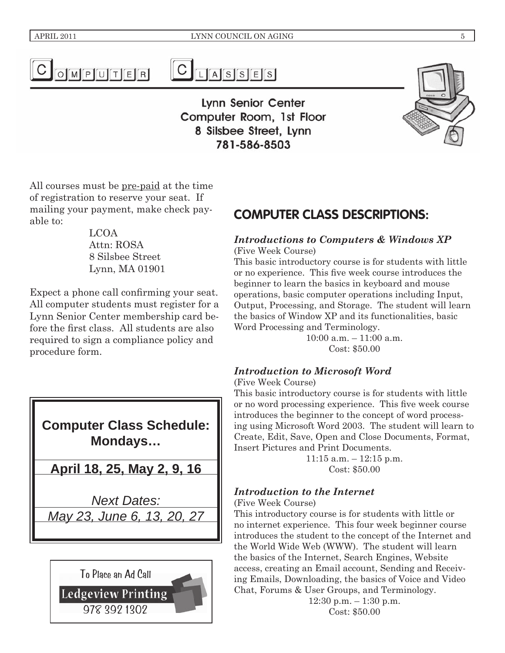

 $C_{LASSES}$ 

**Lynn Senior Center** Computer Room, 1st Floor 8 Silsbee Street, Lynn 781-586-8503

All courses must be pre-paid at the time of registration to reserve your seat. If mailing your payment, make check payable to:

LCOA Attn: ROSA 8 Silsbee Street Lynn, MA 01901

Expect a phone call confirming your seat. All computer students must register for a Lynn Senior Center membership card before the first class. All students are also required to sign a compliance policy and procedure form.

# **Computer Class Schedule: Mondays…**

**April 18, 25, May 2, 9, 16**

*Next Dates: May 23, June 6, 13, 20, 27*



# **COMPUTER CLASS DESCRIPTIONS:**

# *Introductions to Computers & Windows XP*

(Five Week Course)

This basic introductory course is for students with little or no experience. This five week course introduces the beginner to learn the basics in keyboard and mouse operations, basic computer operations including Input, Output, Processing, and Storage. The student will learn the basics of Window XP and its functionalities, basic Word Processing and Terminology.

10:00 a.m. – 11:00 a.m. Cost: \$50.00

# *Introduction to Microsoft Word*

(Five Week Course)

This basic introductory course is for students with little or no word processing experience. This five week course introduces the beginner to the concept of word processing using Microsoft Word 2003. The student will learn to Create, Edit, Save, Open and Close Documents, Format, Insert Pictures and Print Documents.

> 11:15 a.m. – 12:15 p.m. Cost: \$50.00

# *Introduction to the Internet*

(Five Week Course)

This introductory course is for students with little or no internet experience. This four week beginner course introduces the student to the concept of the Internet and the World Wide Web (WWW). The student will learn the basics of the Internet, Search Engines, Website access, creating an Email account, Sending and Receiving Emails, Downloading, the basics of Voice and Video Chat, Forums & User Groups, and Terminology.

12:30 p.m. – 1:30 p.m. Cost: \$50.00

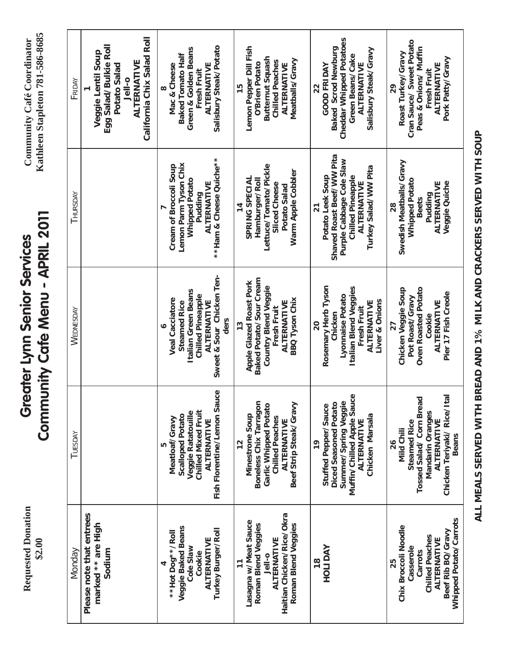**Requested Donation Requested Donation \$2.00**

# Community Cafe Menu - APRIL 2011 **Community Cafe Menu - APRIL 2011 Greater Lynn Senior Services Greater Lynn Senior Services**

**Community Café Coordinator**<br>Kathleen Stapleton 781-586-8685 **Kathleen Stapleton 781-586-8685 Community Café Coordinator**

| Monday                                                                                                                                     | TUESDAY                                                                                                                                                            | WEDNESDAY                                                                                                                                             | THURSDAY                                                                                                                                                               | FRIDAY                                                                                                                                         |
|--------------------------------------------------------------------------------------------------------------------------------------------|--------------------------------------------------------------------------------------------------------------------------------------------------------------------|-------------------------------------------------------------------------------------------------------------------------------------------------------|------------------------------------------------------------------------------------------------------------------------------------------------------------------------|------------------------------------------------------------------------------------------------------------------------------------------------|
| Please note that entrees<br>marked ** are High<br>Sodium                                                                                   |                                                                                                                                                                    |                                                                                                                                                       |                                                                                                                                                                        | California Chix Salad Roll<br>Egg Salad/Bulkie Roll<br>Veggie Lentil Soup<br>ALTERNATIVE<br>Potato Salad<br>Jell-o                             |
| Veggie Baked Beans<br>Turkey Burger/Roll<br>** Hot Dog**/Roll<br>ALTERNATIVE<br>Cole Slaw<br>Cookie<br>4                                   | Fish Florentine/Lemon Sauce<br><b>Chilled Mixed Fruit</b><br>Veggie Ratatouille<br><b>Scalloped Potato</b><br>Meatloaf/Gravy<br>ALTERNATIVE<br>Б                   | Sweet & Sour Chicken Ten-<br>Italian Green Beans<br><b>Chilled Pineapple</b><br><b>Veal Cacciatore</b><br>ALTERNATIVE<br><b>Steamed Rice</b><br>ders  | ** Ham & Cheese Quiche**<br>Lemon Parm Tyson Chix<br>Cream of Broccoli Soup<br><b>Whipped Potato</b><br>ALTERNATIVE<br>Pudding                                         | Salisbury Steak/Potato<br>Green & Golden Beans<br><b>Baked Tomato Half</b><br>Mac & Cheese<br>ALTERNATIVE<br>Fresh Fruit<br>œ                  |
| Haitian Chicken/Rice/Okra<br>Lasagna w/Meat Sauce<br>Roman Blend Veggies<br>Roman Blend Veggies<br>ALTERNATIVE<br>Jell-0<br>$\overline{1}$ | Boneless Chix Tarragon<br>Beef Strip Steak/Gravy<br>Garlic Whipped Potato<br><b>Minestrone Soup</b><br><b>Chilled Peaches</b><br>ALTERNATIVE<br>12                 | Baked Potato/Sour Cream<br><b>Apple Glazed Roast Pork</b><br><b>Country Blend Veggie</b><br><b>BBQ Tyson Chix</b><br>ALTERNATIVE<br>Fresh Fruit<br>13 | Lettuce/Tomato/Pickle<br>Warm Apple Cobbler<br>SPRING SPECIAL<br>Hamburger/Roll<br>Sliced Cheese<br>Potato Salad<br>14                                                 | Lemon Pepper Dill Fish<br><b>Butternut Squash</b><br>Meatballs/Gravy<br><b>Chilled Peaches</b><br><b>O'Brien Potato</b><br>ALTERNATIVE<br>15   |
| HOLIDAY<br>$\frac{8}{1}$                                                                                                                   | Muffin/Chilled Apple Sauce<br>Summer/Spring Veggie<br>Diced Seasoned Potato<br>Stuffed Pepper/Sauce<br>Chicken Marsala<br><b>ALTERNATIVE</b><br>$\frac{1}{2}$      | Rosemary Herb Tyson<br>Italian Blend Veggies<br>Lyonnaise Potato<br>Liver & Onions<br>ALTERNATIVE<br>Fresh Fruit<br>Chicken<br>20                     | Shaved Roast Beef/WW Pita<br>Purple Cabbage Cole Slaw<br>Turkey Salad/WW Pita<br>Potato Leek Soup<br><b>Chilled Pineapple</b><br><b>ALTERNATIVE</b><br>$\overline{21}$ | <b>Cheddar Whipped Potatoes</b><br>Baked Scrod Newburg<br>Salisbury Steak/Gravy<br>Green Beans/Cake<br><b>GOOD FRIDAY</b><br>ALTERNATIVE<br>22 |
| Whipped Potato/Carrots<br>Chix Broccoli Noodle<br>Beef Rib BQ/Gravy<br>Chilled Peaches<br>ALTERNATIVE<br>Casserole<br>Carrots<br>25        | Tossed Salad/ Corn Bread<br>Chicken Teriyaki/ Rice/Ita<br><b>Mandarin Oranges</b><br>ALTERNATIVE<br><b>Steamed Rice</b><br><b>Mild Chili</b><br><b>Beans</b><br>26 | Oven Roasted Potato<br>Chicken Veggie Soup<br>Pier 17 Fish Creole<br>Pot Roast/Gravy<br>ALTERNATIVE<br>Cookie<br>27                                   | Swedish Meatballs/Gravy<br><b>Whipped Potato</b><br>Veggie Quiche<br>ALTERNATIVE<br>Pudding<br><b>Beets</b><br>28                                                      | Cran Sauce/ Sweet Potato<br>Peas & Onions/ Muffin<br>Roast Turkey/Gravy<br>Pork Patty/Gravy<br>ALTERNATIVE<br>Fresh Fruit<br>29                |

**ALL MEALS SERVED WITH BREAD AND 1% MILK AND CRACKERS SERVED WITH SOUP**

ALL MEALS SERVED WITH BREAD AND 1% MILK AND CRACKERS SERVED WITH SOUP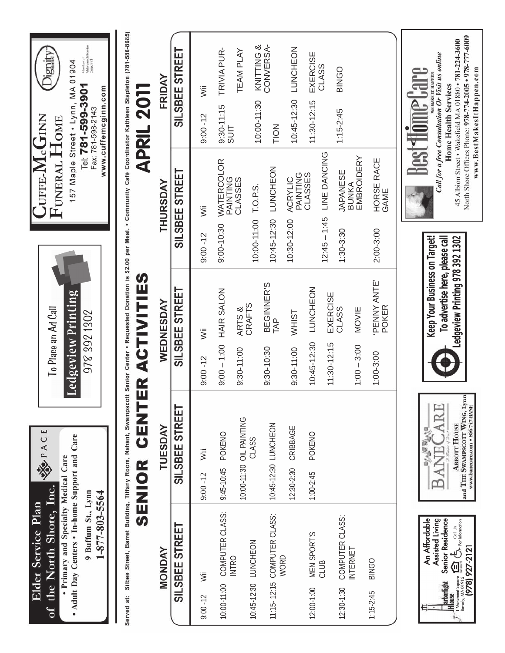| Elder Service Plan                                                                                                                                                      | SEPACE                                                                                  |                                                                                                                                                                                        | $\mathrm{Cuffe}\text{-}\mathrm{\textbf{M}}_{\mathrm{c}}\mathrm{\textbf{G}}_{\mathrm{INN}}$ |                                                                                                                                             |
|-------------------------------------------------------------------------------------------------------------------------------------------------------------------------|-----------------------------------------------------------------------------------------|----------------------------------------------------------------------------------------------------------------------------------------------------------------------------------------|--------------------------------------------------------------------------------------------|---------------------------------------------------------------------------------------------------------------------------------------------|
| the North Shore, Inc.<br>$\sigma$                                                                                                                                       |                                                                                         | To Place an Ad Call                                                                                                                                                                    | FUNERAL HOME                                                                               | Dignity:                                                                                                                                    |
| . Adult Day Centers . In-home Support and Care<br>· Primary and Specialty Medical Care<br>9 Buffum St., Lynn                                                            |                                                                                         | Ledgeview Printing<br>978 392 1302                                                                                                                                                     |                                                                                            | Member of<br>Alderwoods/Se<br>Corp. Int'l<br>157 Maple Street . Lynn, MA 01904<br>Tel: 781-599-3901<br>Fax: 781-598-2143                    |
| 1-877-803-5564                                                                                                                                                          |                                                                                         |                                                                                                                                                                                        |                                                                                            | www.cuffemcginn.com                                                                                                                         |
| Served at:                                                                                                                                                              |                                                                                         | Silbee Street, Barret Building, Tiffany Room, Nahant, Swampscott Senior Center . Requested Donation is \$2.00 per Meal. . Community Café Coordinator Kathleen Stapleton (781-586-8685) |                                                                                            |                                                                                                                                             |
|                                                                                                                                                                         | <b>UNEN</b><br>SENIOR                                                                   | ACTIVITIES<br>$\mathbb{E}$                                                                                                                                                             |                                                                                            | APRIL 2011                                                                                                                                  |
| MONDAY                                                                                                                                                                  | TUESDAY                                                                                 | WEDNESDAY                                                                                                                                                                              | THURSDAY                                                                                   | FRIDAY                                                                                                                                      |
| SILSBEE STREET                                                                                                                                                          | SILSBEE STREET                                                                          | SILSBEE STREET                                                                                                                                                                         | STREET<br>SILSBEE                                                                          | SILSBEE STREET                                                                                                                              |
| ÿΪ<br>$9:00 - 12$                                                                                                                                                       | Wii<br>$9:00 - 12$                                                                      | ŠΪ<br>$9:00 - 12$                                                                                                                                                                      | ÿΪ<br>$9:00 - 12$                                                                          | ŠΪ<br>$9:00 - 12$                                                                                                                           |
| COMPUTER CLASS:<br>10:00-11:00                                                                                                                                          | 9:45-10:45 POKENO                                                                       | HAIR SALON<br>$0.00 - 1.00$                                                                                                                                                            | WATERCOLOR<br>PAINTING<br>CLASSES<br>$9:00 - 10:30$                                        | TRIVIA PUR-<br>9:30-11:15<br>SUIT                                                                                                           |
| 10:45-12:30 LUNCHEON<br><b>INTRO</b>                                                                                                                                    | 10:00-11:30 OIL PAINTING<br>CLASS                                                       | ARTS &<br>CRAFTS<br>$9:30 - 11:00$                                                                                                                                                     | T.O.P.S.<br>10:00-11:00                                                                    | <b>TEAM PLAY</b>                                                                                                                            |
| 11:15-12:15 COMPUTER CLASS:                                                                                                                                             | 10:45-12:30 LUNCHEON                                                                    | BEGINNER'S<br>TAP<br>$9:30 - 10:30$                                                                                                                                                    | LUNCHEON<br>10:45-12:30                                                                    | CONVERSA-<br>KNITTING &<br>10:00-11:30<br><b>NOIT</b>                                                                                       |
| WORD                                                                                                                                                                    | CRIBBAGE<br>12:30-2:30                                                                  | WHIST<br>T<br>$9:30 - 11:00$                                                                                                                                                           | ACRYLIC<br>10:30-12:00                                                                     | LUNCHEON<br>10:45-12:30                                                                                                                     |
| <b>MEN SPORT'S</b><br>$12:00 - 1:00$                                                                                                                                    | POKENO<br>$1:00 - 2:45$                                                                 | LUNCHEON<br>10:45-12:30                                                                                                                                                                | PAINTING<br>CLASSES                                                                        | EXERCISE<br>CLASS<br>11:30-12:15                                                                                                            |
| CLUB                                                                                                                                                                    |                                                                                         | EXERCISE<br>$11:30 - 12:15$                                                                                                                                                            | LINE DANCING<br>$12:45 - 1:45$                                                             |                                                                                                                                             |
| COMPUTER CLASS:<br>INTERNET<br>$12:30-1:30$                                                                                                                             |                                                                                         | CLASS<br>MOVIE<br>$1:00 - 3:00$                                                                                                                                                        | EMBROIDERY<br><b>JAPANESE</b><br>BUNKA<br>$1:30 - 3:30$                                    | BINGO<br>$1:15 - 2:45$                                                                                                                      |
| BINGO<br>$1:15-2:45$                                                                                                                                                    |                                                                                         | PENNY ANTE'<br>POKER<br>1:00-3:00                                                                                                                                                      | HORSE RACE<br>GAME<br>2:00-3:00                                                            |                                                                                                                                             |
|                                                                                                                                                                         |                                                                                         |                                                                                                                                                                                        | $\frac{1}{2}$                                                                              | <b>The lare</b>                                                                                                                             |
| An Affordable<br><b>Senior Residence</b><br>Assisted Living<br>arborlight<br>Hlouse                                                                                     | ARE.<br><b>BARBARA</b><br>ANE <sup></sup>                                               | Keep Your Business on Target!<br>To advertise here, please call                                                                                                                        |                                                                                            | Call for a free Consultation Or Visit us online<br>WE MAKE IT HAPPEN<br>Home Health Services                                                |
| <b>ALL WALDS:</b><br>1 Monument Square $\sum_{m=-\infty}^{\infty}$ $\sum_{k}^{\infty}$ For Information<br>Beverly, $\langle M_{\Delta} O1915 \rangle$<br>(978) 927-2121 | and THE SWAMPSCOTT WING, Lynn<br>www.banccare.com · 866-747-BANE<br><b>ABBOTT HOUSE</b> | Ledgeview Printing 978 392 1302                                                                                                                                                        |                                                                                            | North Shore Offices Phone: 978-774-2005 • 978-777-6009<br>45 Albion Street · Wakefield MA 01880 · 781-224-3600<br>www.BestMakesItHappen.com |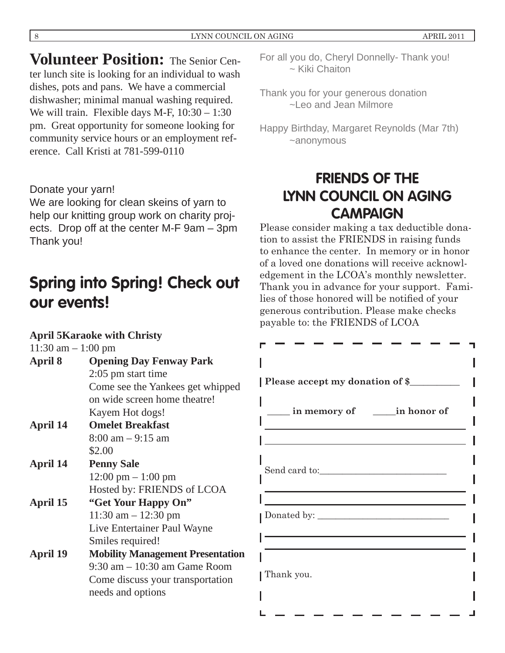**Volunteer Position:** The Senior Center lunch site is looking for an individual to wash dishes, pots and pans. We have a commercial dishwasher; minimal manual washing required. We will train. Flexible days M-F,  $10:30 - 1:30$ pm. Great opportunity for someone looking for community service hours or an employment reference. Call Kristi at 781-599-0110

Donate your yarn!

We are looking for clean skeins of yarn to help our knitting group work on charity projects. Drop off at the center M-F 9am – 3pm Thank you!

# **Spring into Spring! Check out our events!**

# **April 5 Karaoke with Christy**

| 11:30 am $-1:00$ pm |                                         |
|---------------------|-----------------------------------------|
| April 8             | <b>Opening Day Fenway Park</b>          |
|                     | 2:05 pm start time                      |
|                     | Come see the Yankees get whipped        |
|                     | on wide screen home theatre!            |
|                     | Kayem Hot dogs!                         |
| April 14            | <b>Omelet Breakfast</b>                 |
|                     | $8:00 \text{ am} - 9:15 \text{ am}$     |
|                     | \$2.00                                  |
| April 14            | <b>Penny Sale</b>                       |
|                     | $12:00 \text{ pm} - 1:00 \text{ pm}$    |
|                     | Hosted by: FRIENDS of LCOA              |
| April 15            | "Get Your Happy On"                     |
|                     | $11:30$ am $- 12:30$ pm                 |
|                     | Live Entertainer Paul Wayne             |
|                     | Smiles required!                        |
| April 19            | <b>Mobility Management Presentation</b> |
|                     | $9:30$ am $-10:30$ am Game Room         |
|                     | Come discuss your transportation        |
|                     | needs and options                       |
|                     |                                         |

For all you do, Cheryl Donnelly- Thank you! ~ Kiki Chaiton

Thank you for your generous donation ~Leo and Jean Milmore

Happy Birthday, Margaret Reynolds (Mar 7th) ~anonymous

# **FRIENDS OF THE LYNN COUNCIL ON AGING CAMPAIGN**

Please consider making a tax deductible donation to assist the FRIENDS in raising funds to enhance the center. In memory or in honor of a loved one donations will receive acknowledgement in the LCOA's monthly newsletter. Thank you in advance for your support. Families of those honored will be notified of your generous contribution. Please make checks payable to: the FRIENDS of LCOA

| Please accept my donation of \$                  |  |
|--------------------------------------------------|--|
| in memory of in honor of                         |  |
| <u> 1989 - Johann Barn, fransk politik (</u>     |  |
| the control of the control of the control of the |  |
|                                                  |  |
|                                                  |  |
|                                                  |  |
|                                                  |  |
| Thank you.                                       |  |
|                                                  |  |
|                                                  |  |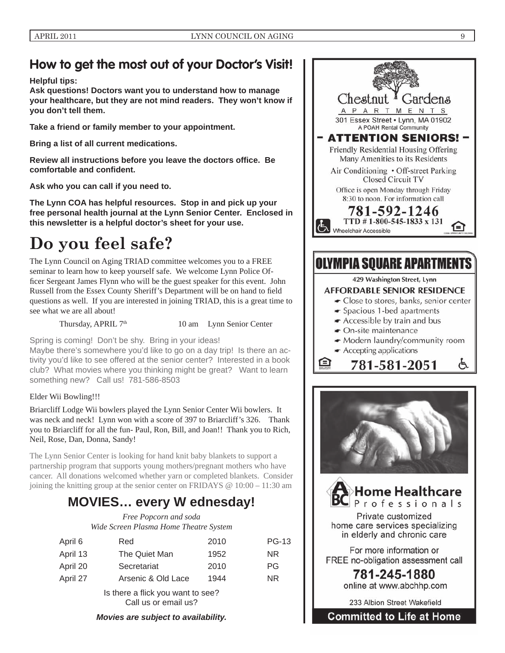# **How to get the most out of your Doctor's Visit!**

**Helpful tips:** 

**Ask questions! Doctors want you to understand how to manage your healthcare, but they are not mind readers. They won't know if you don't tell them.**

**Take a friend or family member to your appointment.**

**Bring a list of all current medications.**

**Review all instructions before you leave the doctors offi ce. Be**   $contable$  and confident.

**Ask who you can call if you need to.**

**The Lynn COA has helpful resources. Stop in and pick up your free personal health journal at the Lynn Senior Center. Enclosed in this newsletter is a helpful doctor's sheet for your use.**

# **Do you feel safe?**

The Lynn Council on Aging TRIAD committee welcomes you to a FREE seminar to learn how to keep yourself safe. We welcome Lynn Police Officer Sergeant James Flynn who will be the guest speaker for this event. John Russell from the Essex County Sheriff's Department will be on hand to field questions as well. If you are interested in joining TRIAD, this is a great time to see what we are all about!

something new? Call us! 781-586-8503

Thursday, APRIL  $7<sup>th</sup>$  10 am Lynn Senior Center

Spring is coming! Don't be shy. Bring in your ideas! Maybe there's somewhere you'd like to go on a day trip! Is there an activity you'd like to see offered at the senior center? Interested in a book club? What movies where you thinking might be great? Want to learn

#### Elder Wii Bowling!!!

Briarcliff Lodge Wii bowlers played the Lynn Senior Center Wii bowlers. It was neck and neck! Lynn won with a score of 397 to Briarcliff's 326. Thank you to Briarcliff for all the fun- Paul, Ron, Bill, and Joan!! Thank you to Rich, Neil, Rose, Dan, Donna, Sandy!

The Lynn Senior Center is looking for hand knit baby blankets to support a partnership program that supports young mothers/pregnant mothers who have cancer. All donations welcomed whether yarn or completed blankets. Consider joining the knitting group at the senior center on FRIDAYS @ 10:00 – 11:30 am

# **MOVIES… every W ednesday!**

*Free Popcorn and soda Wide Screen Plasma Home Theatre System*

| April 6  | Red                                                       | 2010 | <b>PG-13</b> |
|----------|-----------------------------------------------------------|------|--------------|
| April 13 | The Quiet Man                                             | 1952 | <b>NR</b>    |
| April 20 | Secretariat                                               | 2010 | PG.          |
| April 27 | Arsenic & Old Lace                                        | 1944 | NR.          |
|          | Is there a flick you want to see?<br>Call us or email us? |      |              |

*Movies are subject to availability.*



For more information or FREE no-obligation assessment call

> 781-245-1880 online at www.abchhp.com

233 Albion Street Wakefield

**Committed to Life at Home**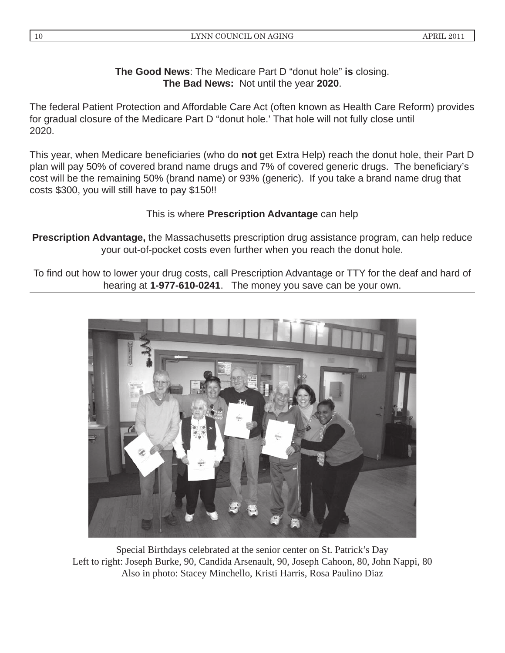# **The Good News**: The Medicare Part D "donut hole" **is** closing. **The Bad News:** Not until the year **2020**.

The federal Patient Protection and Affordable Care Act (often known as Health Care Reform) provides for gradual closure of the Medicare Part D "donut hole.' That hole will not fully close until 2020.

This year, when Medicare beneficiaries (who do **not** get Extra Help) reach the donut hole, their Part D plan will pay 50% of covered brand name drugs and 7% of covered generic drugs. The beneficiary's cost will be the remaining 50% (brand name) or 93% (generic). If you take a brand name drug that costs \$300, you will still have to pay \$150!!

# This is where **Prescription Advantage** can help

**Prescription Advantage,** the Massachusetts prescription drug assistance program, can help reduce your out-of-pocket costs even further when you reach the donut hole.

To find out how to lower your drug costs, call Prescription Advantage or TTY for the deaf and hard of hearing at **1-977-610-0241**. The money you save can be your own.



Special Birthdays celebrated at the senior center on St. Patrick's Day Left to right: Joseph Burke, 90, Candida Arsenault, 90, Joseph Cahoon, 80, John Nappi, 80 Also in photo: Stacey Minchello, Kristi Harris, Rosa Paulino Diaz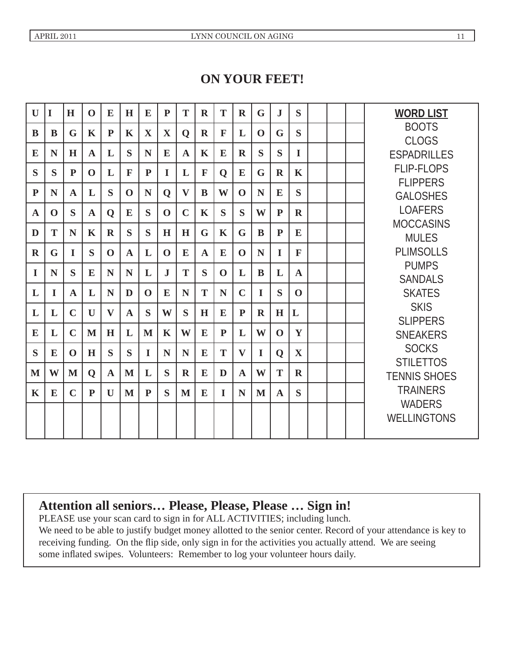# **ON YOUR FEET!**

| $\mathbf{U}$ | I        | H            | $\mathbf 0$  | E            | H            | E            | $\mathbf{P}$ | T            | $\mathbf R$  | T            | $\mathbf R$  | G           | $\mathbf{J}$ | S           |  | <b>WORD LIST</b>                    |
|--------------|----------|--------------|--------------|--------------|--------------|--------------|--------------|--------------|--------------|--------------|--------------|-------------|--------------|-------------|--|-------------------------------------|
| B            | B        | G            | $\mathbf K$  | $\mathbf{P}$ | $\mathbf K$  | $\mathbf{X}$ | X            | $\mathbf 0$  | $\mathbf R$  | $\mathbf{F}$ | L            | $\mathbf 0$ | G            | S           |  | <b>BOOTS</b><br><b>CLOGS</b>        |
| E            | N        | H            | $\mathbf{A}$ | L            | S            | N            | E            | $\mathbf{A}$ | $\mathbf K$  | E            | $\mathbf R$  | S           | S            | $\mathbf I$ |  | <b>ESPADRILLES</b>                  |
| S            | S        | ${\bf P}$    | $\mathbf 0$  | L            | $\mathbf{F}$ | $\mathbf{P}$ | I            | L            | $\mathbf{F}$ | $\mathbf 0$  | E            | G           | $\mathbf R$  | K           |  | <b>FLIP-FLOPS</b>                   |
| $\mathbf{P}$ | N        | $\mathbf{A}$ | L            | S            | $\mathbf 0$  | N            | Q            | $\mathbf{V}$ | B            | W            | $\mathbf 0$  | N           | E            | S           |  | <b>FLIPPERS</b><br><b>GALOSHES</b>  |
| $\mathbf A$  | $\bf{O}$ | S            | A            | $\mathbf 0$  | E            | S            | $\mathbf 0$  | $\mathbf C$  | K            | S            | S            | W           | ${\bf P}$    | $\mathbf R$ |  | <b>LOAFERS</b>                      |
| D            | T        | N            | K            | $\mathbf R$  | S            | S            | H            | H            | G            | $\mathbf K$  | G            | B           | ${\bf P}$    | E           |  | <b>MOCCASINS</b><br><b>MULES</b>    |
| $\mathbf R$  | G        | $\bf{I}$     | S            | $\mathbf 0$  | $\mathbf{A}$ | L            | $\mathbf 0$  | E            | $\mathbf{A}$ | E            | $\mathbf{0}$ | N           | $\bf{I}$     | $\mathbf F$ |  | <b>PLIMSOLLS</b>                    |
| $\bf{I}$     | N        | S            | E            | N            | N            | L            | ${\bf J}$    | T            | S            | $\mathbf{0}$ | L            | B           | L            | $\mathbf A$ |  | <b>PUMPS</b><br><b>SANDALS</b>      |
| L            | $\bf I$  | $\mathbf{A}$ | L            | N            | D            | $\mathbf 0$  | E            | N            | T            | N            | $\mathbf C$  | I           | S            | $\mathbf 0$ |  | <b>SKATES</b>                       |
| L            | L        | $\mathbf C$  | $\mathbf{U}$ | $\mathbf{V}$ | $\mathbf A$  | S            | W            | S            | H            | E            | $\mathbf{P}$ | $\mathbf R$ | H            | L           |  | <b>SKIS</b><br><b>SLIPPERS</b>      |
| E            | L        | $\mathbf C$  | M            | H            | L            | M            | K            | W            | E            | $\mathbf{P}$ | L            | W           | $\mathbf{0}$ | Y           |  | <b>SNEAKERS</b>                     |
| S            | E        | $\mathbf 0$  | H            | S            | S            | I            | N            | N            | E            | T            | $\mathbf{V}$ | $\bf{I}$    | $\mathbf 0$  | $\mathbf X$ |  | <b>SOCKS</b><br><b>STILETTOS</b>    |
| M            | W        | M            | $\mathbf 0$  | $\mathbf A$  | M            | L            | S            | $\mathbf R$  | E            | D            | $\mathbf{A}$ | W           | T            | $\mathbf R$ |  | <b>TENNIS SHOES</b>                 |
| $\mathbf K$  | E        | $\mathbf C$  | ${\bf P}$    | $\mathbf{U}$ | M            | P            | S            | M            | E            | L            | N            | M           | A            | S           |  | <b>TRAINERS</b>                     |
|              |          |              |              |              |              |              |              |              |              |              |              |             |              |             |  | <b>WADERS</b><br><b>WELLINGTONS</b> |

# **Attention all seniors… Please, Please, Please … Sign in!**

PLEASE use your scan card to sign in for ALL ACTIVITIES; including lunch. We need to be able to justify budget money allotted to the senior center. Record of your attendance is key to receiving funding. On the flip side, only sign in for the activities you actually attend. We are seeing some inflated swipes. Volunteers: Remember to log your volunteer hours daily.